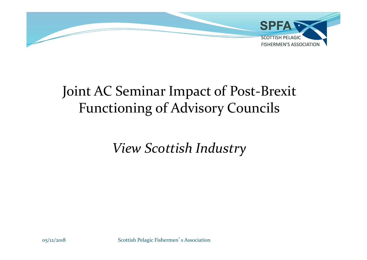

## Joint AC Seminar Impact of Post-Brexit Functioning of Advisory Councils

View Scottish Industry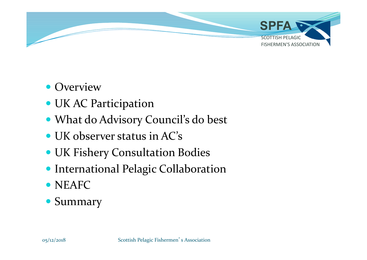

- Overview
- UK AC Participation
- What do Advisory Council's do best
- UK observer status in AC's
- UK Fishery Consultation Bodies
- **International Pelagic Collaboration**
- NEAFC
- Summary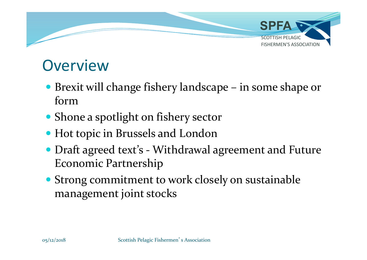

## **Overview**

- form
- Shone a spotlight on fishery sector
- Hot topic in Brussels and London
- **DVETVIEW**<br>
 Brexit will change fishery landscape in some shape or<br>
form<br>
 Shone a spotlight on fishery sector<br>
 Hot topic in Brussels and London<br>
 Draft agreed text's Withdrawal agreement and Future<br>
Economic Part Economic Partnership
- Strong commitment to work closely on sustainable management joint stocks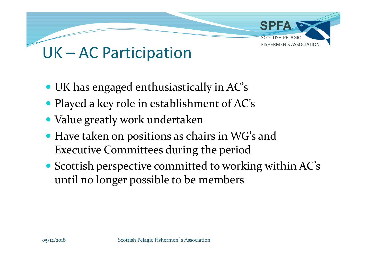

- UK has engaged enthusiastically in AC's
- Played a key role in establishment of AC's
- Value greatly work undertaken
- Have taken on positions as chairs in WG's and Executive Committees during the period
- Scottish perspective committed to working within AC's until no longer possible to be members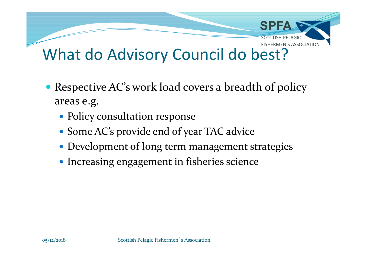

- Respective AC's work load covers a breadth of policy areas e.g.
	- Policy consultation response
	- Some AC's provide end of year TAC advice
	- Development of long term management strategies
	- Increasing engagement in fisheries science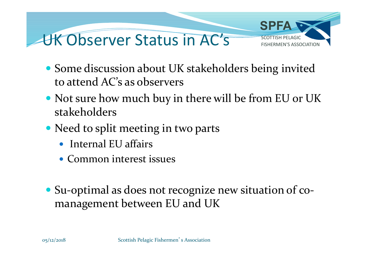

- Some discussion about UK stakeholders being invited to attend AC's as observers
- Not sure how much buy in there will be from EU or UK stakeholders
- Need to split meeting in two parts
	- Internal EU affairs
	- Common interest issues
- Su-optimal as does not recognize new situation of comanagement between EU and UK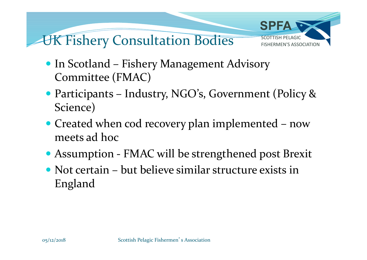

- Committee (FMAC)
- Science) • In Scotland – Fishery Management Advisory<br>
Committee (FMAC)<br>
• Participants – Industry, NGO's, Government (Policy &<br>
Science)<br>
• Created when cod recovery plan implemented – now<br>
meets ad hoc<br>
• Assumption - FMAC will be • In Scotland – Fishery Management Advisory<br>
• Committee (FMAC)<br>
• Participants – Industry, NGO's, Government (Policy &<br>
Science)<br>
• Created when cod recovery plan implemented – now<br>
meets ad hoc<br>
• Assumption - FMAC will
- meets ad hoc
- 
- England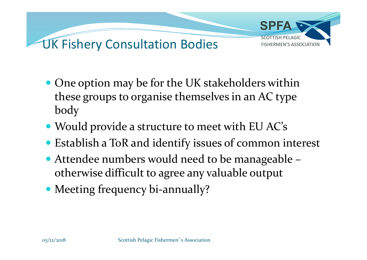

- One option may be for the UK stakeholders within these groups to organise themselves in an AC type body
- Would provide a structure to meet with EU AC's
- Establish a ToR and identify issues of common interest
- Attendee numbers would need to be manageable otherwise difficult to agree any valuable output
- Meeting frequency bi-annually?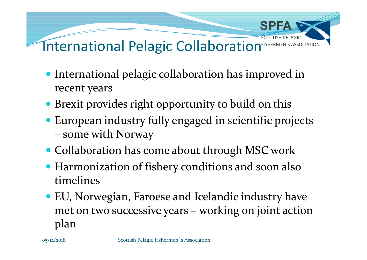

- International pelagic collaboration has improved in recent years
- Brexit provides right opportunity to build on this
- European industry fully engaged in scientific projects
- Collaboration has come about through MSC work
- Harmonization of fishery conditions and soon also timelines
- EU, Norwegian, Faroese and Icelandic industry have Brexit provides right opportunity to build on this<br>European industry fully engaged in scientific projects<br>– some with Norway<br>Collaboration has come about through MSC work<br>Harmonization of fishery conditions and soon also<br>t plan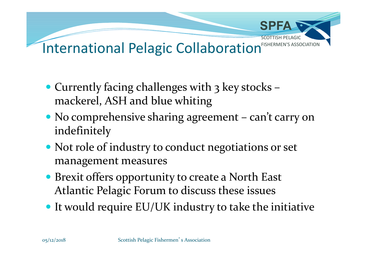

- Currently facing challenges with  $3$  key stocks mackerel, ASH and blue whiting
- indefinitely
- Not role of industry to conduct negotiations or set management measures
- Brexit offers opportunity to create a North East Atlantic Pelagic Forum to discuss these issues
- It would require EU/UK industry to take the initiative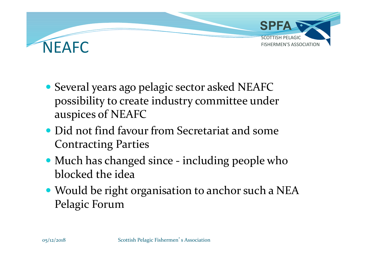

- Several years ago pelagic sector asked NEAFC possibility to create industry committee under auspices of NEAFC • Several years ago pelagic sector asked NEAFC<br>possibility to create industry committee under<br>auspices of NEAFC<br>• Did not find favour from Secretariat and some<br>Contracting Parties<br>• Much has changed since - including peopl
- Did not find favour from Secretariat and some Contracting Parties
- blocked the idea
- Would be right organisation to anchor such a NEA Pelagic Forum